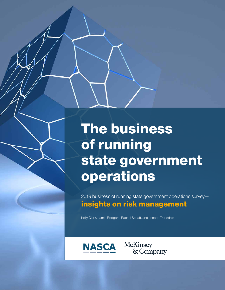# The business of running state government operations

2019 business of running state government operations survey insights on risk management

Kelly Clark, Jamie Rodgers, Rachel Schaff, and Joseph Truesdale



McKinsey & Company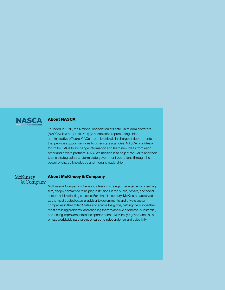

# About NASCA

Founded in 1976, the National Association of State Chief Administrators (NASCA), is a nonprofit, 501(c)3 association representing chief administrative officers (CAOs)—public officials in charge of departments that provide support services to other state agencies. NASCA provides a forum for CAOs to exchange information and learn new ideas from each other and private partners. NASCA's mission is to help state CAOs and their teams strategically transform state government operations through the power of shared knowledge and thought leadership.

## **McKinsey** & Company

#### About McKinsey & Company

McKinsey & Company is the world's leading strategic management consulting firm, deeply committed to helping institutions in the public, private, and social sectors achieve lasting success. For almost a century, McKinsey has served as the most trusted external adviser to governments and private sector companies in the United States and across the globe, helping them solve their most pressing problems, and enabling them to achieve distinctive, substantial, and lasting improvements in their performance. McKinsey's governance as a private worldwide partnership ensures its independence and objectivity.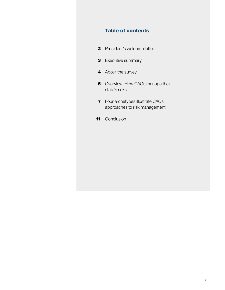# Table of contents

- **2** President's welcome letter
- 3 Executive summary
- 4 About the survey
- 5 Overview: How CAOs manage their state's risks
- **7** Four archetypes illustrate CAOs' approaches to risk management
- 11 Conclusion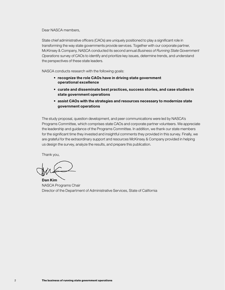Dear NASCA members,

State chief administrative officers (CAOs) are uniquely positioned to play a significant role in transforming the way state governments provide services. Together with our corporate partner, McKinsey & Company, NASCA conducted its second annual *Business of Running State Government Operations* survey of CAOs to identify and prioritize key issues, determine trends, and understand the perspectives of these state leaders.

NASCA conducts research with the following goals:

- recognize the role CAOs have in driving state government operational excellence
- curate and disseminate best practices, success stories, and case studies in state government operations
- assist CAOs with the strategies and resources necessary to modernize state government operations

The study proposal, question development, and peer communications were led by NASCA's Programs Committee, which comprises state CAOs and corporate partner volunteers. We appreciate the leadership and guidance of the Programs Committee. In addition, we thank our state members for the significant time they invested and insightful comments they provided in this survey. Finally, we are grateful for the extraordinary support and resources McKinsey & Company provided in helping us design the survey, analyze the results, and prepare this publication.

Thank you,

Dan Kim NASCA Programs Chair Director of the Department of Administrative Services, State of California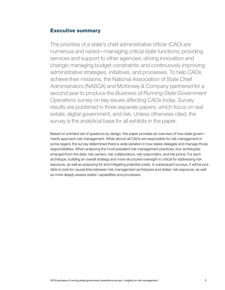## Executive summary

The priorities of a state's chief administrative officer (CAO) are numerous and varied—managing critical state functions; providing services and support to other agencies; driving innovation and change; managing budget constraints; and continuously improving administrative strategies, initiatives, and processes. To help CAOs achieve their missions, the National Association of State Chief Administrators (NASCA) and McKinsey & Company partnered for a second year to produce the *Business of Running State Government Operations* survey on key issues affecting CAOs today. Survey results are published in three separate papers, which focus on real estate, digital government, and risk. Unless otherwise cited, the survey is the analytical base for all exhibits in the paper.

Based on a limited set of questions by design, this paper provides an overview of how state governments approach risk management. While almost all CAOs are responsible for risk management in some regard, the survey determined there is wide variation in how states delegate and manage those responsibilities. When analyzing the most prevalent risk management practices, four archetypes emerged from the data: risk owners, risk collaborators, risk responders, and risk prone. For each archetype, building an overall strategy and more structured oversight is critical for addressing risk exposure, as well as preparing for and mitigating potential crises. In subsequent surveys, it will be possible to look for causal links between risk management archetypes and states' risk exposure, as well as more deeply assess states' capabilities and processes.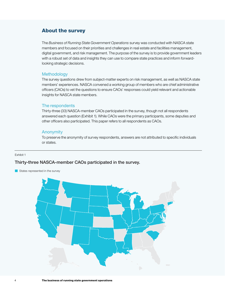# About the survey

The *Business of Running State Government Operations* survey was conducted with NASCA state members and focused on their priorities and challenges in real estate and facilities management, digital government, and risk management. The purpose of the survey is to provide government leaders with a robust set of data and insights they can use to compare state practices and inform forwardlooking strategic decisions.

### **Methodology**

The survey questions drew from subject-matter experts on risk management, as well as NASCA state members' experiences. NASCA convened a working group of members who are chief administrative officers (CAOs) to vet the questions to ensure CAOs' responses could yield relevant and actionable insights for NASCA state members.

#### The respondents

Thirty-three (33) NASCA-member CAOs participated in the survey, though not all respondents answered each question (Exhibit 1). While CAOs were the primary participants, some deputies and other officers also participated. This paper refers to all respondents as CAOs.

#### **Anonymity** NASCA Risk report

To preserve the anonymity of survey respondents, answers are not attributed to specific individuals or states.

#### Exhibit 1

## Thirty-three NASCA-member CAOs participated in the survey.

States represented in the survey

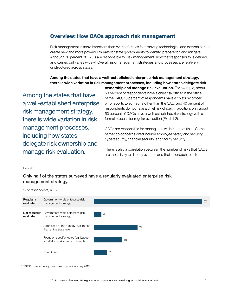# Overview: How CAOs approach risk management

Risk management is more important than ever before, as fast-moving technologies and external forces create new and more powerful threats for state governments to identify, prepare for, and mitigate. Although 76 percent of CAOs are responsible for risk management, how that responsibility is defined and carried out varies widely.<sup>1</sup> Overall, risk management strategies and processes are relatively unstructured across states.

## Among the states that have a well-established enterprise risk management strategy, there is wide variation in risk management processes, including how states delegate risk

Among the states that have a well-established enterprise risk management strategy, there is wide variation in risk management processes, including how states delegate risk ownership and manage risk evaluation.

ownership and manage risk evaluation. For example, about 50 percent of respondents have a chief risk officer in the office of the CAO, 10 percent of respondents have a chief risk officer who reports to someone other than the CAO, and 40 percent of respondents do not have a chief risk officer. In addition, only about 50 percent of CAOs have a well-established risk strategy with a formal process for regular evaluation (Exhibit 2).

CAOs are responsible for managing a wide range of risks. Some of the top concerns cited include employee safety and security, cybersecurity, financial security, and facility security.

There is also a correlation between the number of risks that CAOs are most likely to directly oversee and their approach to risk

Exhibit 2

## Only half of the states surveyed have a regularly evaluated enterprise risk management strategy.

% of respondents,  $n = 27$ 



<sup>1</sup> NASCA member survey on areas of responsibility, July 2019.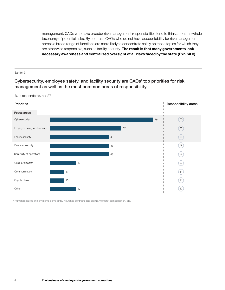management. CAOs who have broader risk management responsibilities tend to think about the whole taxonomy of potential risks. By contrast, CAOs who do not have accountability for risk management across a broad range of functions are more likely to concentrate solely on those topics for which they are otherwise responsible, such as facility security. The result is that many governments lack necessary awareness and centralized oversight of all risks faced by the state (Exhibit 3).

#### Exhibit 3

Cybersecurity, employee safety, and facility security are CAOs' top priorities for risk management as well as the most common areas of responsibility.





1 Human resource and civil rights complaints, insurance contracts and claims, workers' compensation, etc.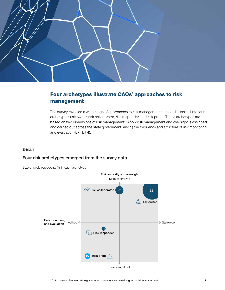

# Four archetypes illustrate CAOs' approaches to risk management

NASCA Risk report The survey revealed a wide range of approaches to risk management that can be sorted into four archetypes: risk owner, risk collaborator, risk responder, and risk prone. These archetypes are based on two dimensions of risk management: 1) how risk management and oversight is assigned and carried out across the state government, and 2) the frequency and structure of risk monitoring and evaluation (Exhibit 4).

Exhibit 4

## Four risk archetypes emerged from the survey data.

Size of circle represents % in each archetype

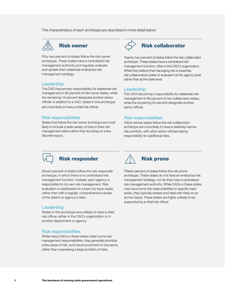The characteristics of each archetype are described in more detail below:



Fifty-two percent of states follow the risk owner archetype. These states have a centralized risk management authority and regularly evaluate and update their statewide enterprise risk management strategy.

#### Leadership

The CAO has primary responsibility for statewide risk management in 86 percent of risk owner states, while the remaining 14 percent designate another senior official. In addition to a CAO, states in this archetype are most likely to have a chief risk officer.

#### Risk responsibilities

States that follow the risk owner archetype are most likely to include a wide variety of risks in their risk management plans rather than focusing on a few discrete topics.



Twenty-two percent of states follow the risk collaborator archetype. These states have a centralized risk management function, often in the CAO's organization. While they believe that managing risk is essential, risk collaborators prefer to evaluate it at the agency level rather than at the state level.

#### Leadership

The CAO has primary responsibility for statewide risk management in 66 percent of risk collaborator states, while the remaining 34 percent designate another senior official.

#### Risk responsibilities

CAOs whose states follow the risk collaborator archetype are more likely to have a relatively narrow risk portfolio, with other senior officials taking responsibility for additional risks.



Eleven percent of states follow the risk responder archetype, in which there is no centralized risk management function. Instead, each agency is responsible for its own risk management. Risk evaluation is addressed on a topic-by-topic basis, rather than with a regular, comprehensive review of the state's or agency's risks.

#### Leadership

States in this archetype are unlikely to have a chief risk officer, either in the CAO's organization or in another department or agency.

#### Risk responsibilities

While many CAOs in these states retain some risk management responsibilities, they generally prioritize a few areas of risk, such as procurement or insurance, rather than overseeing a large portfolio of risks.



Fifteen percent of states follow the risk prone archetype. These states do not have an enterprise risk management strategy, nor do they have a centralized risk management authority. While CAOs in these states may have some risk responsibilities in specific topic areas, they typically assess and deal with risks on an ad hoc basis. These states are highly unlikely to be supported by a chief risk officer.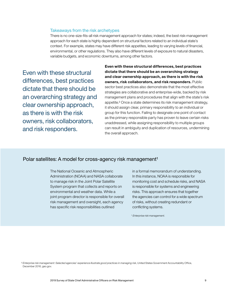#### Takeaways from the risk archetypes

There is no one-size-fits-all risk management approach for states; indeed, the best risk-management approach for each state is highly dependent on structural factors related to an individual state's context. For example, states may have different risk appetites, leading to varying levels of financial, environmental, or other regulations. They also have different levels of exposure to natural disasters, variable budgets, and economic downturns, among other factors.

Even with these structural differences, best practices dictate that there should be an overarching strategy and clear ownership approach, as there is with the risk owners, risk collaborators, and risk responders.

Even with these structural differences, best practices dictate that there should be an overarching strategy and clear ownership approach, as there is with the risk owners, risk collaborators, and risk responders. Public sector best practices also demonstrate that the most effective strategies are collaborative and enterprise-wide, backed by risk management plans and procedures that align with the state's risk appetite.² Once a state determines its risk management strategy, it should assign clear, primary responsibility to an individual or group for this function. Failing to designate one point of contact as the primary responsible party has proven to leave certain risks unaddressed, while assigning responsibility to multiple groups can result in ambiguity and duplication of resources, undermining the overall approach.

## Polar satellites: A model for cross-agency risk management<sup>1</sup>

The National Oceanic and Atmospheric Administration (NOAA) and NASA collaborate to manage risk in the Joint Polar Satellite System program that collects and reports on environmental and weather data. While a joint program director is responsible for overall risk management and oversight, each agency has specific risk responsibilities outlined

in a formal memorandum of understanding. In this instance, NOAA is responsible for monitoring cost and schedule risks, and NASA is responsible for systems and engineering risks. This approach ensures that together the agencies can control for a wide spectrum of risks, without creating redundant or conflicting systems.

¹ *Enterprise risk management*.

² *Enterprise risk management: Selected agencies' experience illustrate good practices in managing risk*, United States Government Accountability Office, December 2016, gao.gov.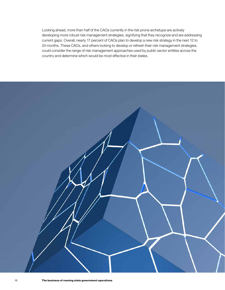Looking ahead, more than half of the CAOs currently in the risk prone archetype are actively developing more robust risk management strategies, signifying that they recognize and are addressing current gaps. Overall, nearly 17 percent of CAOs plan to develop a new risk strategy in the next 12 to 24 months. These CAOs, and others looking to develop or refresh their risk management strategies, could consider the range of risk management approaches used by public sector entities across the country and determine which would be most effective in their states.

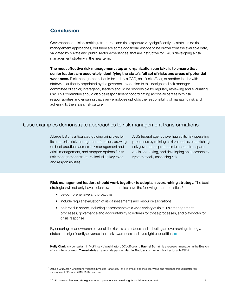# Conclusion

Governance, decision-making structures, and risk exposure vary significantly by state, as do risk management approaches, but there are some additional lessons to be drawn from the available data, validated by private and public sector experiences, that are instructive for CAOs developing a risk management strategy in the near term.

The most effective risk management step an organization can take is to ensure that senior leaders are accurately identifying the state's full set of risks and areas of potential weakness. Risk management should be led by a CAO, chief risk officer, or another leader with statewide authority appointed by the governor. In addition to this designated risk manager, a committee of senior, interagency leaders should be responsible for regularly reviewing and evaluating risk. This committee should also be responsible for coordinating across all parties with risk responsibilities and ensuring that every employee upholds the responsibility of managing risk and adhering to the state's risk culture.

## Case examples demonstrate approaches to risk management transformations

A large US city articulated guiding principles for its enterprise risk management function, drawing on best practices across risk management and crisis management, and mapped options for its risk management structure, including key roles and responsibilities.

A US federal agency overhauled its risk operating processes by refining its risk models, establishing risk governance protocols to ensure transparent decision making, and developing an approach to systematically assessing risk.

Risk management leaders should work together to adopt an overarching strategy. The best strategies will not only have a clear owner but also have the following characteristics:<sup>4</sup>

- be comprehensive and proactive
- include regular evaluation of risk assessments and resource allocations
- be broad in scope, including assessments of a wide variety of risks, risk management processes, governance and accountability structures for those processes, and playbooks for crisis response

By ensuring clear ownership over all the risks a state faces and adopting an overarching strategy, states can significantly advance their risk awareness and oversight capabilities.

Kelly Clark is a consultant in McKinsey's Washington, DC, office and Rachel Schaff is a research manager in the Boston office, where Joseph Truesdale is an associate partner; Jamie Rodgers is the deputy director at NASCA.

 $^4$  Daniela Gius, Jean-Christophe Mieszala, Ernestos Panayiotou, and Thomas Poppensieker, "Value and resilience through better risk management," October 2018, McKinsey.com.